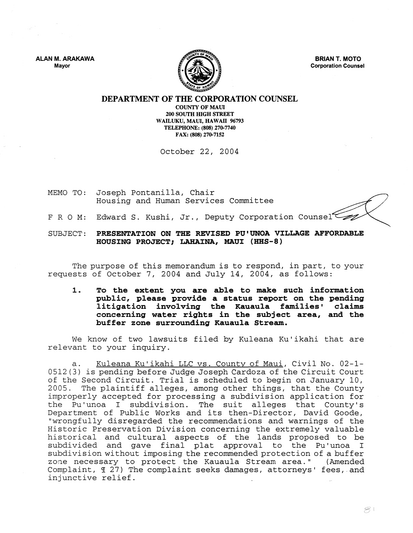ALAN M. ARAKAWA Mayor



BRIAN T. MOTO Corporation Counsel

DEPARTMENT OF THE CORPORATION COUNSEL

COUNTY OF MAUl 200 SOUTH HIGH STREET WAILUKU, MAUl, HAWAII 96793 TELEPHONE: (808) 270-7740 FAX: (808) 270-7152

October 22, 2004

- MEMO TO: Joseph Pontanilla, Chair Housing and Human Services Committee
- F R O M: Edward S. Kushi, Jr., Deputy Corporation Counsel

SUBJECT: PRESENTATION ON THE REVISED PU'UNOA VILLAGE AFFORDABLE HOUSING PROJECT; LAHAINA, MAUl (HHS-8)

The purpose of this memorandum is to respond, in part, to your requests of October 7, 2004 and July 14, 2004, as follows:

1. To the extent you are able to make such information public, please provide a status report on the pending litigation involving the Kauaula families' claims concerning water rights in the subject area, and the buffer zone surrounding Kauaula Stream.

We know of two lawsuits filed by Kuleana Ku'ikahi that are relevant to your inquiry.

a. Kuleana Ku'ikahi LLC vs. County of Maui, Civil No. 02-1- 0512 (3) is pending before Judge Joseph Cardoza of the Circuit Court of the Second Circuit. Trial is scheduled to begin on January 10, 2005. The plaintiff alleges, among other things, that the County improperly accepted for processing a subdivision application for the Pu'unoa I subdivision. The suit alleges that County's Department of Public Works and its then-Director, David Goode, "wrongfully disregarded the recommendations and warnings of the Historic Preservation Division concerning the extremely valuable historical and cultural aspects of the lands proposed to be subdivided and gave final plat approval to the Pu'unoa I subdivision without imposing the recommended protection of a buffer<br>zone necessary to protect the Kauaula Stream area." (Amended zone necessary to protect the Kauaula Stream area." Complaint,  $\text{\ensuremath{\mathfrak{A}}}$  27) The complaint seeks damages, attorneys' fees, and injunctive relief.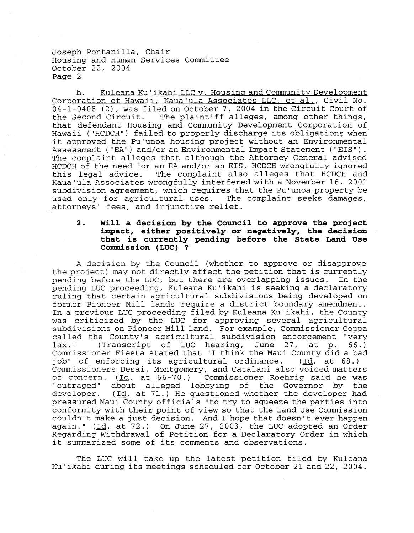Joseph Pontanilla, Chair Housing and Human Services Committee October 22, 2004 Page 2

b. Kuleana Ku'ikahi LLC v. Housing and Community Development Corporation of Hawaii, Kaua'ula Associates LLC, et al., Civil No. 04-1-0408 (2), was filed on October 7, 2004 in the Circuit Court of the Second Circuit. The plaintiff alleges, among other things, The plaintiff alleges, among other things, that defendant Housing and Community Development Corporation of Hawaii ("HCDCH") failed to properly discharge its obligations when it approved the Pu'unoa housing project without an Environmental Assessment ("EA") and/or an Environmental Impact Statement ("EIS") . The complaint alleges that although the Attorney General advised HCDCH of the need for an EA and/or an EIS, HCDCH wrongfully ignored<br>this legal advice. The complaint also alleges that HCDCH and The complaint also alleges that HCDCH and Kaua'ula Associates wrongfully interfered with a November 16, 2001 subdivision agreement, which requires that the Pu'unoa property be used only for agricultural uses. The complaint seeks damages, attorneys' fees, and injunctive relief.

## **2. will a decision by the Council to approve the project impact, either positively or negatively, the decision that is currently pending before the State Land Use Commission (LUC) ?**

A decision by the Council (whether to approve or disapprove the project) may not directly affect the petition that is currently pending before the LUC, but there are overlapping issues. In the pending LUC proceeding, Kuleana KU'ikahi is seeking a declaratory ruling that certain agricultural subdivisions being developed on former Pioneer Mill lands require a district boundary amendment. In a previous LUC proceeding filed by Kuleana Ku'ikahi, the County was criticized by the LUC for approving several agricultural subdivisions on Pioneer Mill land. For example, Commissioner Coppa called the County's agricultural subdivision enforcement "very<br>lax." (Transcript of LUC hearing, June 27, at p. 66.) (Transcript of LUC hearing, June 27, at p. Commissioner Fiesta stated that "I think the Maui County did a bad<br>job" of enforcing its agricultural ordinance. (Id. at 68.) job" of enforcing its agricultural ordinance. Commissioners Desai, Montgomery, and Catalani also voiced matters<br>of concern. (Id. at 66-70.) Commissioner Roehrig said he was of concern. (Id. at 66-70.) Commissioner Roehrig said he was<br>"outraged" about alleged lobbying of the Governor by the "outraged" about alleged lobbying of the Governor by<br>developer. (Id. at 71.) He questioned whether the developer  $(\text{Id. at } 71.)$  He questioned whether the developer had pressured Maui County officials "to try to squeeze the parties into conformity with their point of view so that the Land Use Commission couldn't make a just decision. And I hope that doesn't ever happen again." (Id. at  $72.$ ) On June 27, 2003, the LUC adopted an Order Regarding Withdrawal of Petition for a Declaratory Order in which it summarized some of its comments and observations.

The LUC will take up the latest petition filed by Kuleana Ku 'ikahi during its meetings scheduled for October 21 and 22, 2004.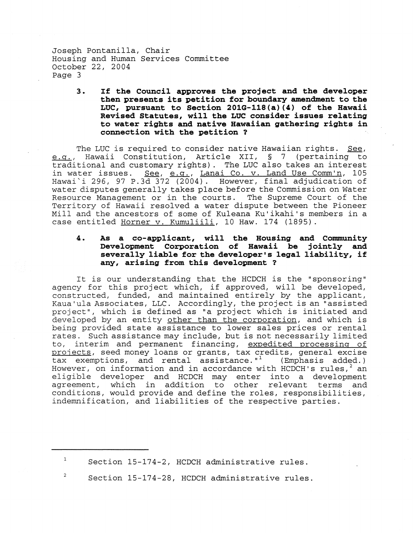Joseph Pontanilla, Chair Housing and Human Services Committee October 22, 2004 Page 3

> **3. If the Council approves the project and the developer then presents its petition for boundary amendment to the LUC, pursuant to Section** 201G-118(a) (4) **of the Hawaii Revised Statutes, will the LUC consider issues relating to water rights and native Hawaiian gathering rights in connection with the petition ?**

The LUC is required to consider native Hawaiian rights. See, e.g., Hawaii Constitution, Article XII, § 7 (pertaining to traditional and customary rights). The LUC also takes an interest in water issues. See, e.g., Lanai Co. v. Land Use Comm'n, 105 Hawai'i 296, 97 P.3d 372 (2004). However, final adjudication of water disputes generally takes place before the Commission on Water Resource Management or in the courts. The Supreme Court of the Territory of Hawaii resolved a water dispute between the Pioneer Mill and the ancestors of some of Kuleana Ku'ikahi's members in a case entitled Horner v. Kumuliili, 10 Haw. 174 (1895).

## 4. **As a co-applicant, will the Housing and Community Development Corporation of Hawaii be jointly and severally liable for the developer's legal liability, if any, arising from this development ?**

It is our understanding that the HCDCH is the "sponsoring" agency for this project which, if approved, will be developed, constructed, funded, and maintained entirely by the applicant, Kaua'ula Associates, LLC. Accordingly, the project is an "assisted project", which is defined as "a project which is initiated and developed by an entity other than the corporation, and which is being provided state assistance to lower sales prices or rental rates. Such assistance may include, but is not necessarily limited to, interim and permanent financing, expedited processing of projects, seed money loans or grants, tax credits, general excise<br>tax exemptions, and rental assistance."<sup>1</sup> (Emphasis added.) tax exemptions, and rental assistance. $"$ <sup>1</sup> However, on information and in accordance with HCDCH's rules,  $2$  an eligible developer and HCDCH may enter into a development<br>agreement, which in addition to other relevant terms and to other relevant terms and conditions, would provide and define the roles, responsibilities, indemnification, and liabilities of the respective parties.

 $1$  Section 15-174-2, HCDCH administrative rules.

<sup>2</sup> Section 15-174-28, HCDCH administrative rules.